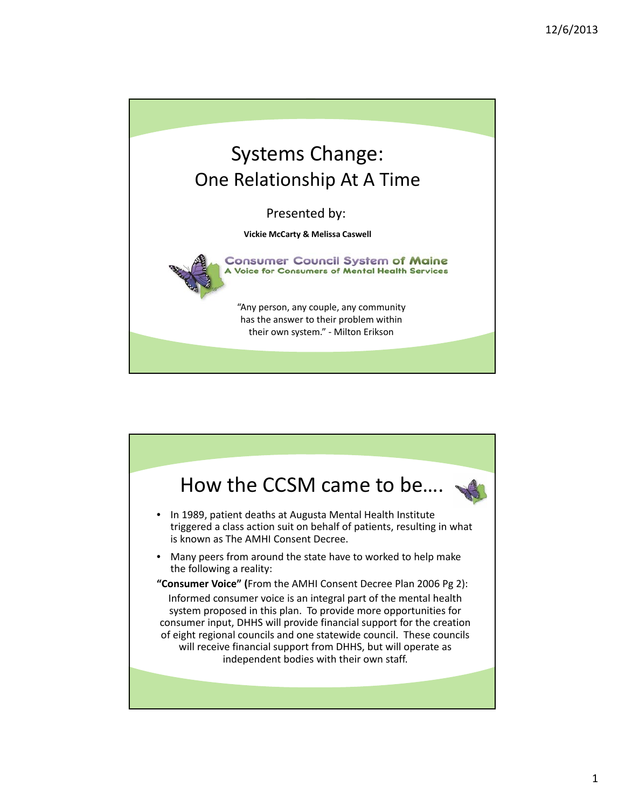

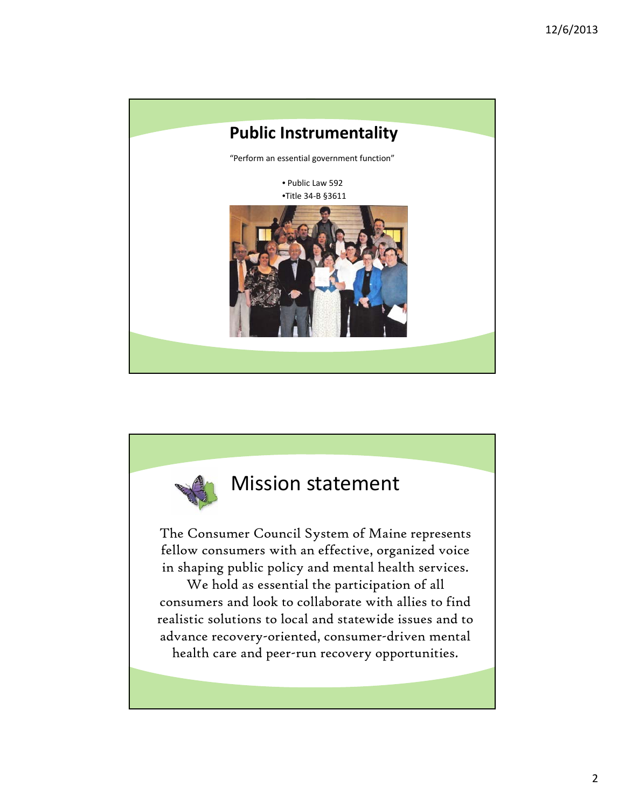

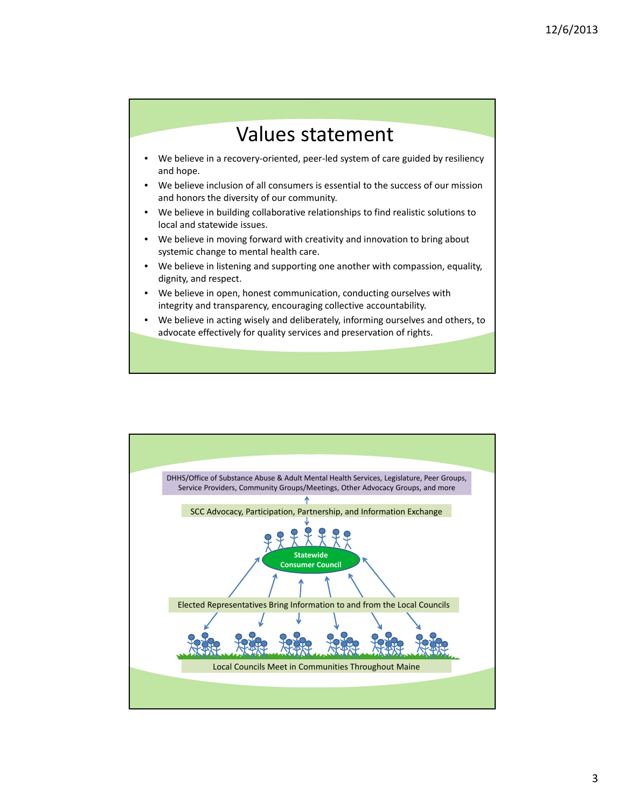#### Values statement

- We believe in a recovery‐oriented, peer‐led system of care guided by resiliency and hope.
- We believe inclusion of all consumers is essential to the success of our mission and honors the diversity of our community.
- We believe in building collaborative relationships to find realistic solutions to local and statewide issues.
- We believe in moving forward with creativity and innovation to bring about systemic change to mental health care.
- We believe in listening and supporting one another with compassion, equality, dignity, and respect.
- We believe in open, honest communication, conducting ourselves with integrity and transparency, encouraging collective accountability.
- We believe in acting wisely and deliberately, informing ourselves and others, to advocate effectively for quality services and preservation of rights.

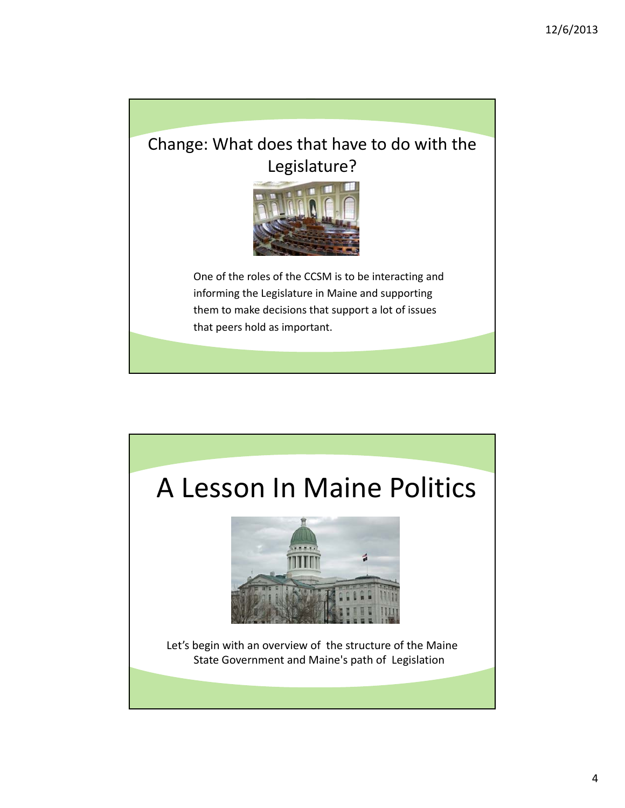#### Change: What does that have to do with the Legislature?



One of the roles of the CCSM is to be interacting and informing the Legislature in Maine and supporting them to make decisions that support a lot of issues that peers hold as important.

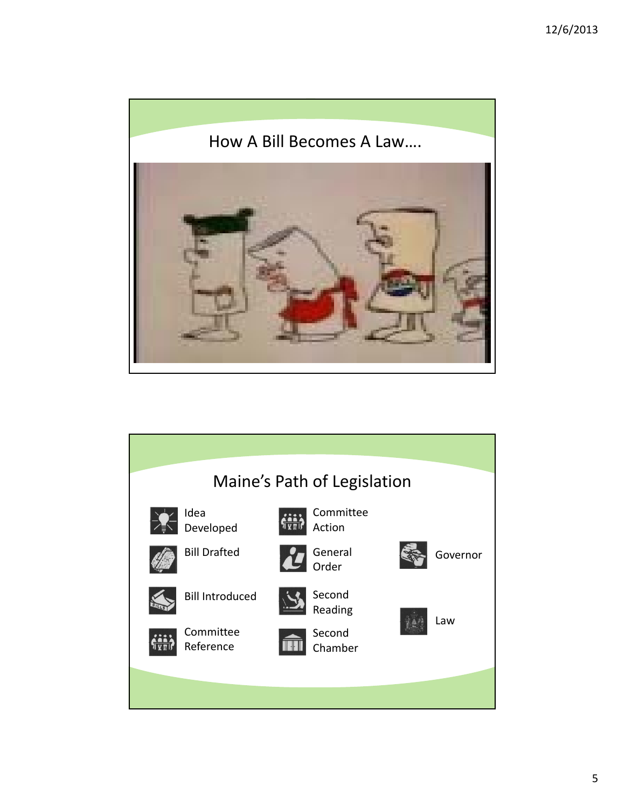

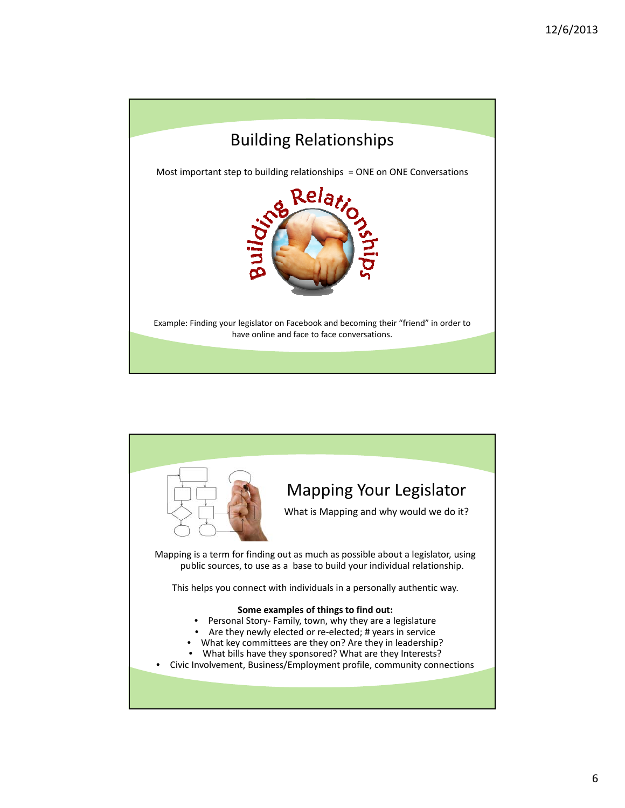

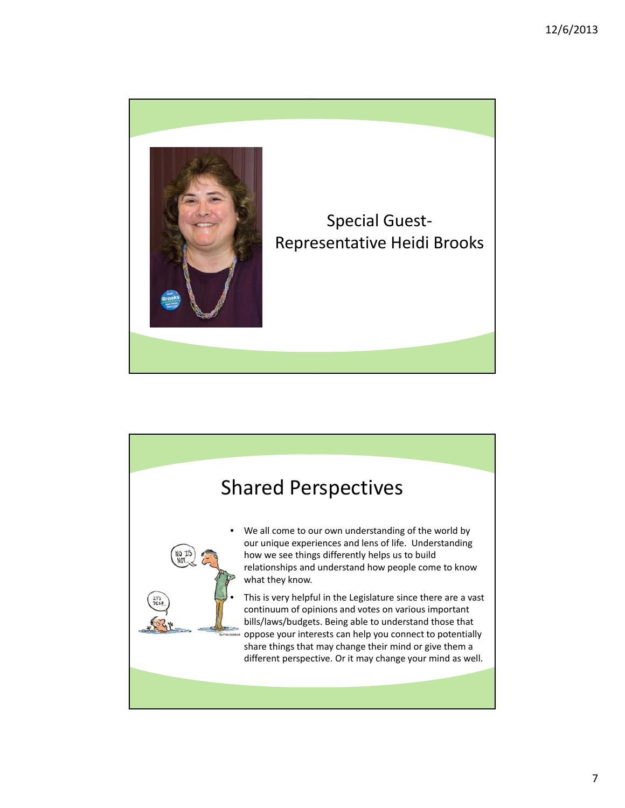

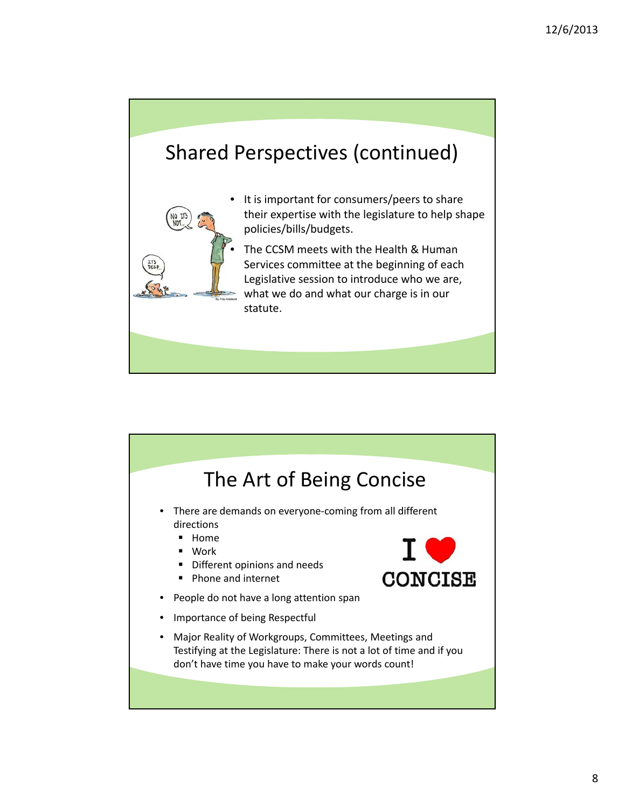## Shared Perspectives (continued)



It is important for consumers/peers to share their expertise with the legislature to help shape policies/bills/budgets.

The CCSM meets with the Health & Human Services committee at the beginning of each Legislative session to introduce who we are, what we do and what our charge is in our statute.

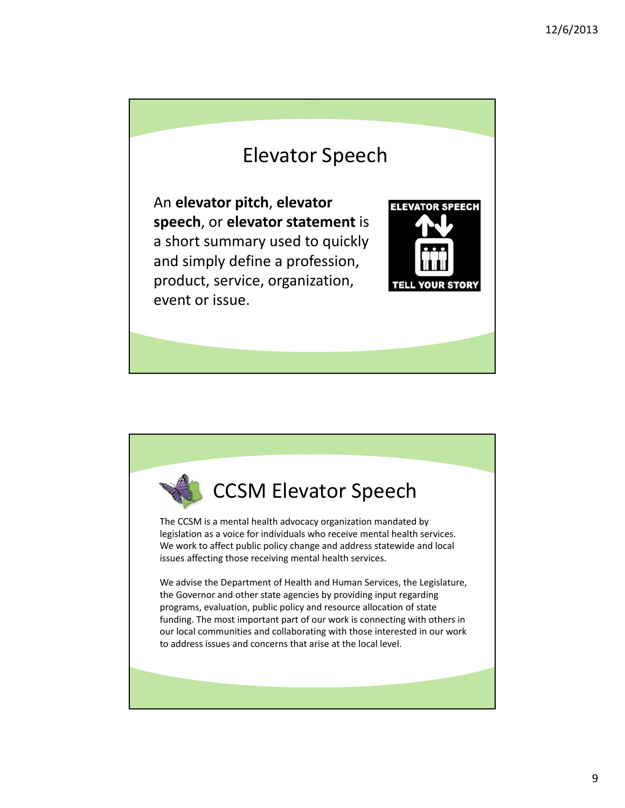### Elevator Speech

An **elevator pitch**, **elevator speech**, or **elevator statement** is a short summary used to quickly and simply define a profession, product, service, organization, event or issue.



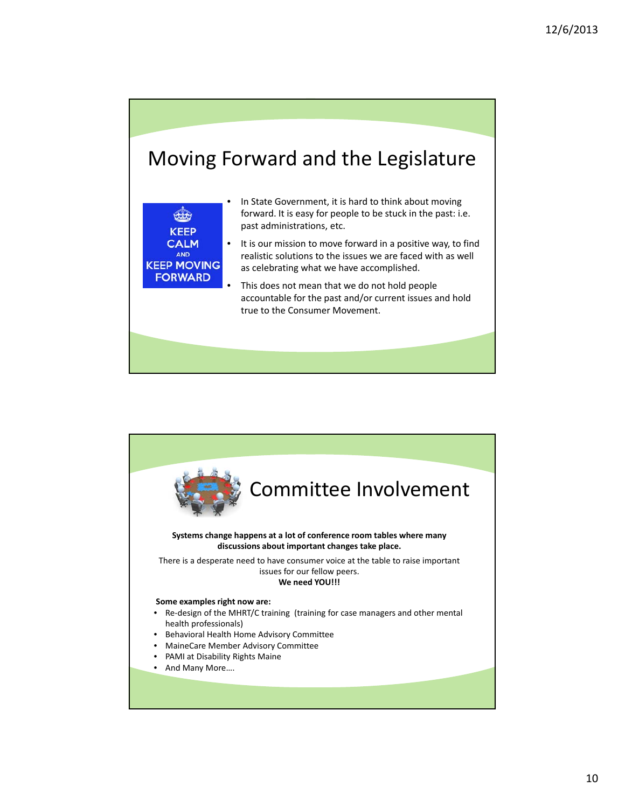# Moving Forward and the Legislature

西边 **KEEP CALM AND KEEP MOVING FORWARD** 

In State Government, it is hard to think about moving forward. It is easy for people to be stuck in the past: i.e. past administrations, etc.

• It is our mission to move forward in a positive way, to find realistic solutions to the issues we are faced with as well as celebrating what we have accomplished.

This does not mean that we do not hold people accountable for the past and/or current issues and hold true to the Consumer Movement.

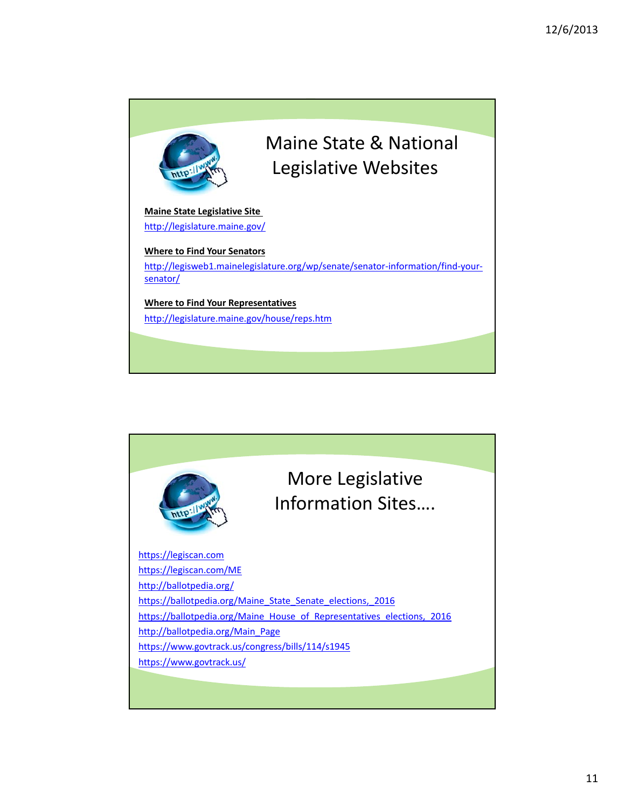

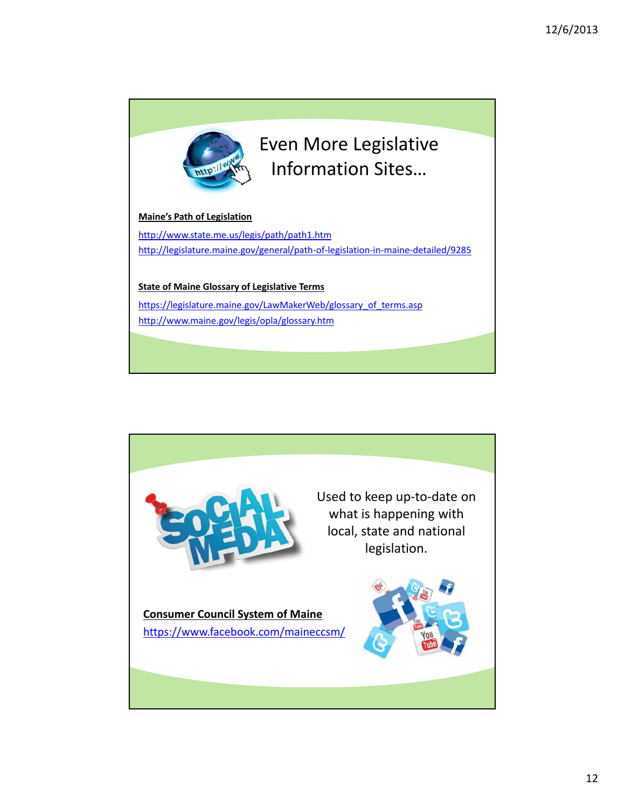

## Even More Legislative Information Sites…

#### **Maine's Path of Legislation**

http://www.state.me.us/legis/path/path1.htm http://legislature.maine.gov/general/path‐of‐legislation‐in‐maine‐detailed/9285

**State of Maine Glossary of Legislative Terms** https://legislature.maine.gov/LawMakerWeb/glossary\_of\_terms.asp http://www.maine.gov/legis/opla/glossary.htm

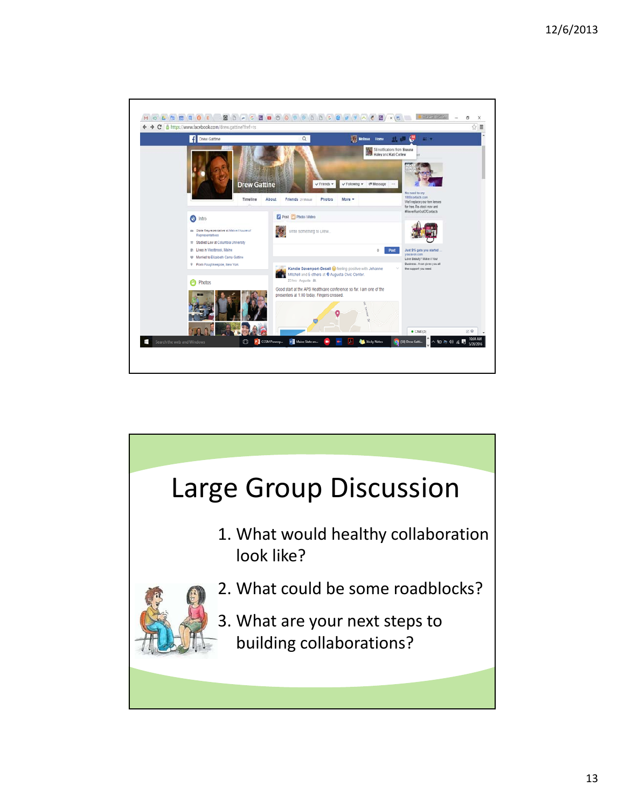